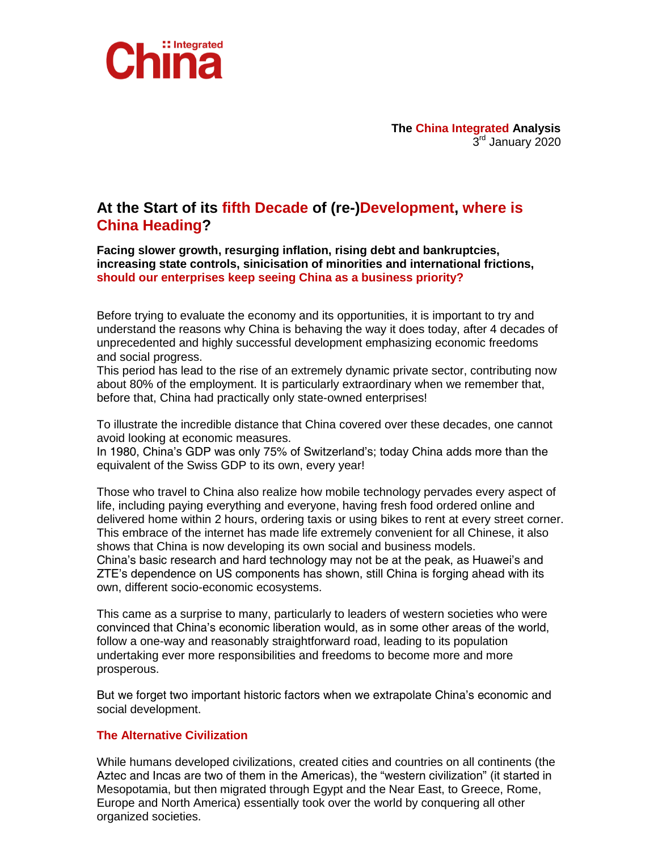

**The China Integrated Analysis** 3 rd January 2020

# **At the Start of its fifth Decade of (re-)Development, where is China Heading?**

**Facing slower growth, resurging inflation, rising debt and bankruptcies, increasing state controls, sinicisation of minorities and international frictions, should our enterprises keep seeing China as a business priority?**

Before trying to evaluate the economy and its opportunities, it is important to try and understand the reasons why China is behaving the way it does today, after 4 decades of unprecedented and highly successful development emphasizing economic freedoms and social progress.

This period has lead to the rise of an extremely dynamic private sector, contributing now about 80% of the employment. It is particularly extraordinary when we remember that, before that, China had practically only state-owned enterprises!

To illustrate the incredible distance that China covered over these decades, one cannot avoid looking at economic measures.

In 1980, China's GDP was only 75% of Switzerland's; today China adds more than the equivalent of the Swiss GDP to its own, every year!

Those who travel to China also realize how mobile technology pervades every aspect of life, including paying everything and everyone, having fresh food ordered online and delivered home within 2 hours, ordering taxis or using bikes to rent at every street corner. This embrace of the internet has made life extremely convenient for all Chinese, it also shows that China is now developing its own social and business models. China's basic research and hard technology may not be at the peak, as Huawei's and

ZTE's dependence on US components has shown, still China is forging ahead with its own, different socio-economic ecosystems.

This came as a surprise to many, particularly to leaders of western societies who were convinced that China's economic liberation would, as in some other areas of the world, follow a one-way and reasonably straightforward road, leading to its population undertaking ever more responsibilities and freedoms to become more and more prosperous.

But we forget two important historic factors when we extrapolate China's economic and social development.

## **The Alternative Civilization**

While humans developed civilizations, created cities and countries on all continents (the Aztec and Incas are two of them in the Americas), the "western civilization" (it started in Mesopotamia, but then migrated through Egypt and the Near East, to Greece, Rome, Europe and North America) essentially took over the world by conquering all other organized societies.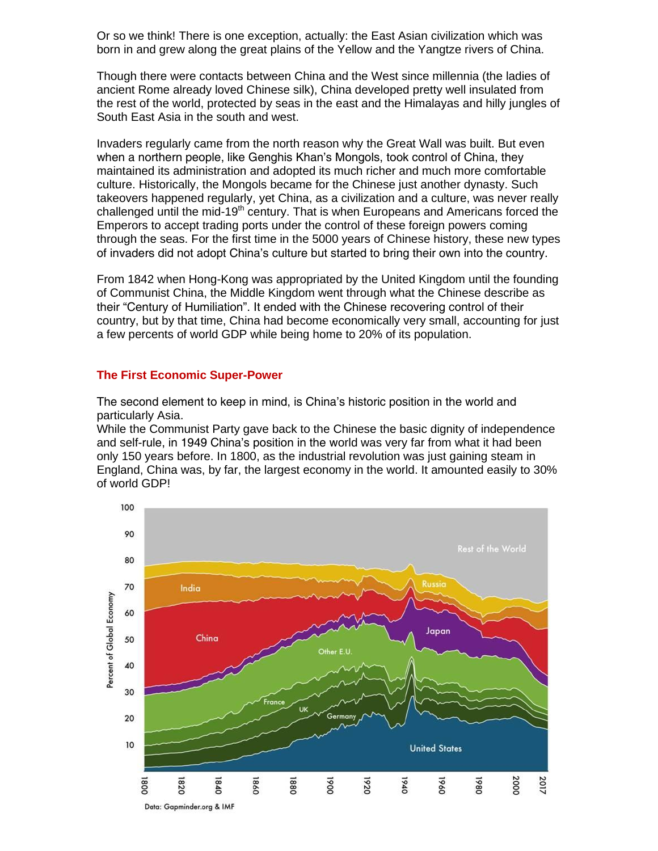Or so we think! There is one exception, actually: the East Asian civilization which was born in and grew along the great plains of the Yellow and the Yangtze rivers of China.

Though there were contacts between China and the West since millennia (the ladies of ancient Rome already loved Chinese silk), China developed pretty well insulated from the rest of the world, protected by seas in the east and the Himalayas and hilly jungles of South East Asia in the south and west.

Invaders regularly came from the north reason why the Great Wall was built. But even when a northern people, like Genghis Khan's Mongols, took control of China, they maintained its administration and adopted its much richer and much more comfortable culture. Historically, the Mongols became for the Chinese just another dynasty. Such takeovers happened regularly, yet China, as a civilization and a culture, was never really challenged until the mid-19<sup>th</sup> century. That is when Europeans and Americans forced the Emperors to accept trading ports under the control of these foreign powers coming through the seas. For the first time in the 5000 years of Chinese history, these new types of invaders did not adopt China's culture but started to bring their own into the country.

From 1842 when Hong-Kong was appropriated by the United Kingdom until the founding of Communist China, the Middle Kingdom went through what the Chinese describe as their "Century of Humiliation". It ended with the Chinese recovering control of their country, but by that time, China had become economically very small, accounting for just a few percents of world GDP while being home to 20% of its population.

## **The First Economic Super-Power**

The second element to keep in mind, is China's historic position in the world and particularly Asia.

While the Communist Party gave back to the Chinese the basic dignity of independence and self-rule, in 1949 China's position in the world was very far from what it had been only 150 years before. In 1800, as the industrial revolution was just gaining steam in England, China was, by far, the largest economy in the world. It amounted easily to 30% of world GDP!

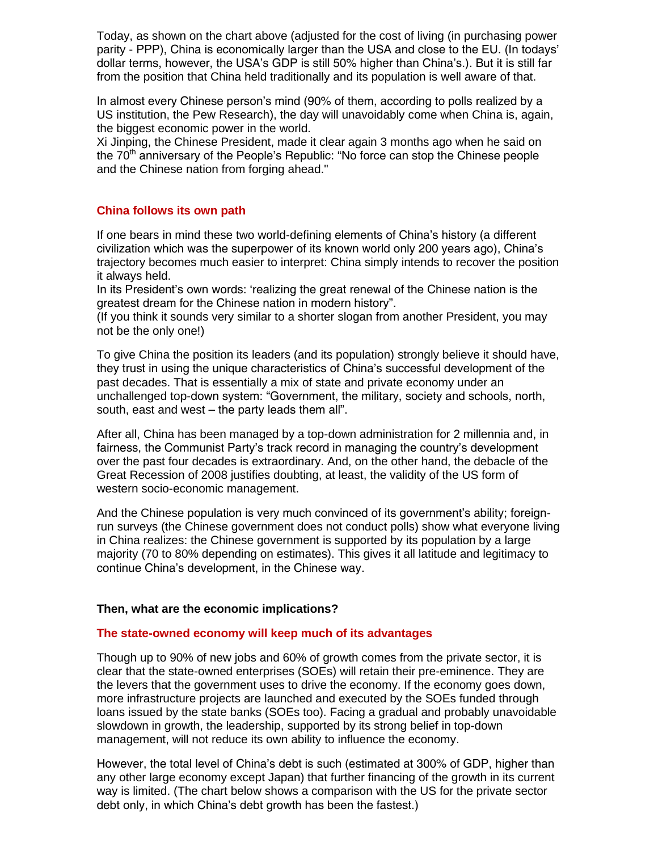Today, as shown on the chart above (adjusted for the cost of living (in purchasing power parity - PPP), China is economically larger than the USA and close to the EU. (In todays' dollar terms, however, the USA's GDP is still 50% higher than China's.). But it is still far from the position that China held traditionally and its population is well aware of that.

In almost every Chinese person's mind (90% of them, according to polls realized by a US institution, the Pew Research), the day will unavoidably come when China is, again, the biggest economic power in the world.

Xi Jinping, the Chinese President, made it clear again 3 months ago when he said on the 70<sup>th</sup> anniversary of the People's Republic: "No force can stop the Chinese people and the Chinese nation from forging ahead."

### **China follows its own path**

If one bears in mind these two world-defining elements of China's history (a different civilization which was the superpower of its known world only 200 years ago), China's trajectory becomes much easier to interpret: China simply intends to recover the position it always held.

In its President's own words: 'realizing the great renewal of the Chinese nation is the greatest dream for the Chinese nation in modern history".

(If you think it sounds very similar to a shorter slogan from another President, you may not be the only one!)

To give China the position its leaders (and its population) strongly believe it should have, they trust in using the unique characteristics of China's successful development of the past decades. That is essentially a mix of state and private economy under an unchallenged top-down system: "Government, the military, society and schools, north, south, east and west – the party leads them all".

After all, China has been managed by a top-down administration for 2 millennia and, in fairness, the Communist Party's track record in managing the country's development over the past four decades is extraordinary. And, on the other hand, the debacle of the Great Recession of 2008 justifies doubting, at least, the validity of the US form of western socio-economic management.

And the Chinese population is very much convinced of its government's ability; foreignrun surveys (the Chinese government does not conduct polls) show what everyone living in China realizes: the Chinese government is supported by its population by a large majority (70 to 80% depending on estimates). This gives it all latitude and legitimacy to continue China's development, in the Chinese way.

#### **Then, what are the economic implications?**

#### **The state-owned economy will keep much of its advantages**

Though up to 90% of new jobs and 60% of growth comes from the private sector, it is clear that the state-owned enterprises (SOEs) will retain their pre-eminence. They are the levers that the government uses to drive the economy. If the economy goes down, more infrastructure projects are launched and executed by the SOEs funded through loans issued by the state banks (SOEs too). Facing a gradual and probably unavoidable slowdown in growth, the leadership, supported by its strong belief in top-down management, will not reduce its own ability to influence the economy.

However, the total level of China's debt is such (estimated at 300% of GDP, higher than any other large economy except Japan) that further financing of the growth in its current way is limited. (The chart below shows a comparison with the US for the private sector debt only, in which China's debt growth has been the fastest.)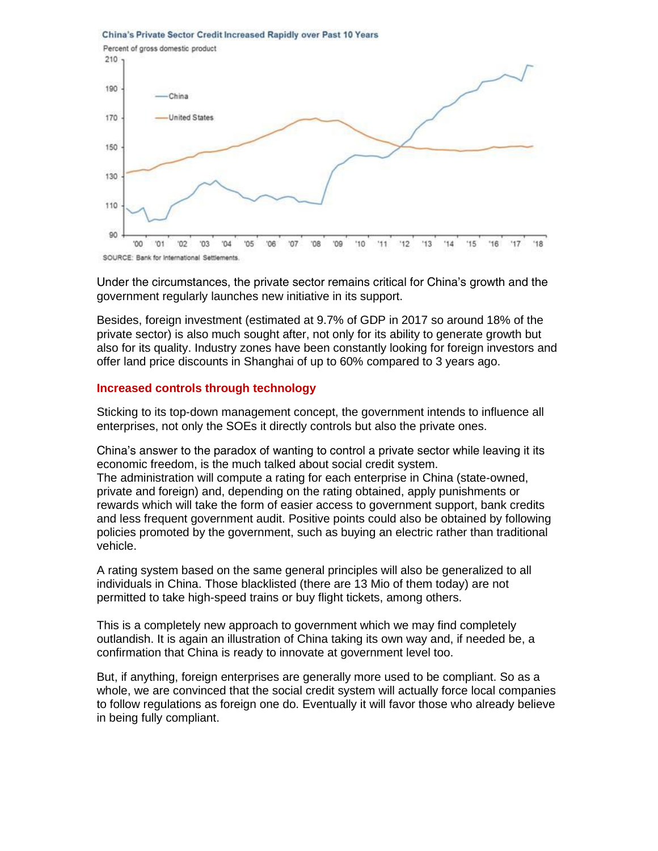



Under the circumstances, the private sector remains critical for China's growth and the government regularly launches new initiative in its support.

Besides, foreign investment (estimated at 9.7% of GDP in 2017 so around 18% of the private sector) is also much sought after, not only for its ability to generate growth but also for its quality. Industry zones have been constantly looking for foreign investors and offer land price discounts in Shanghai of up to 60% compared to 3 years ago.

#### **Increased controls through technology**

Sticking to its top-down management concept, the government intends to influence all enterprises, not only the SOEs it directly controls but also the private ones.

China's answer to the paradox of wanting to control a private sector while leaving it its economic freedom, is the much talked about social credit system. The administration will compute a rating for each enterprise in China (state-owned, private and foreign) and, depending on the rating obtained, apply punishments or rewards which will take the form of easier access to government support, bank credits and less frequent government audit. Positive points could also be obtained by following policies promoted by the government, such as buying an electric rather than traditional vehicle.

A rating system based on the same general principles will also be generalized to all individuals in China. Those blacklisted (there are 13 Mio of them today) are not permitted to take high-speed trains or buy flight tickets, among others.

This is a completely new approach to government which we may find completely outlandish. It is again an illustration of China taking its own way and, if needed be, a confirmation that China is ready to innovate at government level too.

But, if anything, foreign enterprises are generally more used to be compliant. So as a whole, we are convinced that the social credit system will actually force local companies to follow regulations as foreign one do. Eventually it will favor those who already believe in being fully compliant.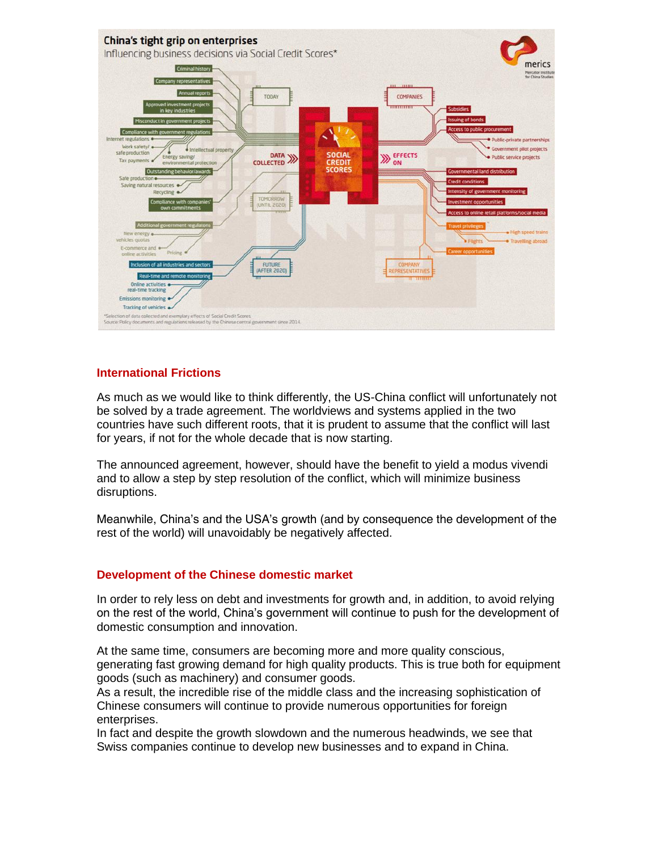

## **International Frictions**

As much as we would like to think differently, the US-China conflict will unfortunately not be solved by a trade agreement. The worldviews and systems applied in the two countries have such different roots, that it is prudent to assume that the conflict will last for years, if not for the whole decade that is now starting.

The announced agreement, however, should have the benefit to yield a modus vivendi and to allow a step by step resolution of the conflict, which will minimize business disruptions.

Meanwhile, China's and the USA's growth (and by consequence the development of the rest of the world) will unavoidably be negatively affected.

#### **Development of the Chinese domestic market**

In order to rely less on debt and investments for growth and, in addition, to avoid relying on the rest of the world, China's government will continue to push for the development of domestic consumption and innovation.

At the same time, consumers are becoming more and more quality conscious, generating fast growing demand for high quality products. This is true both for equipment goods (such as machinery) and consumer goods.

As a result, the incredible rise of the middle class and the increasing sophistication of Chinese consumers will continue to provide numerous opportunities for foreign enterprises.

In fact and despite the growth slowdown and the numerous headwinds, we see that Swiss companies continue to develop new businesses and to expand in China.